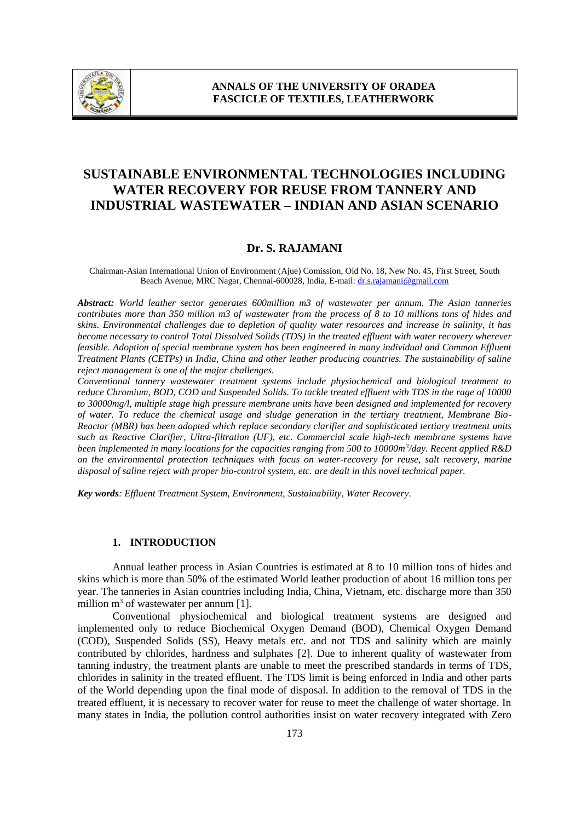

# **SUSTAINABLE ENVIRONMENTAL TECHNOLOGIES INCLUDING WATER RECOVERY FOR REUSE FROM TANNERY AND INDUSTRIAL WASTEWATER – INDIAN AND ASIAN SCENARIO**

#### **Dr. S. RAJAMANI**

Chairman-Asian International Union of Environment (Ajue) Comission, Old No. 18, New No. 45, First Street, South Beach Avenue, MRC Nagar, Chennai-600028, India, E-mail: dr.s.rajamani@gmail.com

*Abstract: World leather sector generates 600million m3 of wastewater per annum. The Asian tanneries contributes more than 350 million m3 of wastewater from the process of 8 to 10 millions tons of hides and skins. Environmental challenges due to depletion of quality water resources and increase in salinity, it has become necessary to control Total Dissolved Solids (TDS) in the treated effluent with water recovery wherever feasible. Adoption of special membrane system has been engineered in many individual and Common Effluent Treatment Plants (CETPs) in India, China and other leather producing countries. The sustainability of saline reject management is one of the major challenges.*

*Conventional tannery wastewater treatment systems include physiochemical and biological treatment to reduce Chromium, BOD, COD and Suspended Solids. To tackle treated effluent with TDS in the rage of 10000 to 30000mg/l, multiple stage high pressure membrane units have been designed and implemented for recovery of water. To reduce the chemical usage and sludge generation in the tertiary treatment, Membrane Bio-Reactor (MBR) has been adopted which replace secondary clarifier and sophisticated tertiary treatment units such as Reactive Clarifier, Ultra-filtration (UF), etc. Commercial scale high-tech membrane systems have been implemented in many locations for the capacities ranging from 500 to 10000m<sup>3</sup> /day. Recent applied R&D on the environmental protection techniques with focus on water-recovery for reuse, salt recovery, marine disposal of saline reject with proper bio-control system, etc. are dealt in this novel technical paper.*

*Key words: Effluent Treatment System, Environment, Sustainability, Water Recovery*.

#### **1. INTRODUCTION**

Annual leather process in Asian Countries is estimated at 8 to 10 million tons of hides and skins which is more than 50% of the estimated World leather production of about 16 million tons per year. The tanneries in Asian countries including India, China, Vietnam, etc. discharge more than 350 million  $m<sup>3</sup>$  of wastewater per annum [1].

Conventional physiochemical and biological treatment systems are designed and implemented only to reduce Biochemical Oxygen Demand (BOD), Chemical Oxygen Demand (COD), Suspended Solids (SS), Heavy metals etc. and not TDS and salinity which are mainly contributed by chlorides, hardness and sulphates [2]. Due to inherent quality of wastewater from tanning industry, the treatment plants are unable to meet the prescribed standards in terms of TDS, chlorides in salinity in the treated effluent. The TDS limit is being enforced in India and other parts of the World depending upon the final mode of disposal. In addition to the removal of TDS in the treated effluent, it is necessary to recover water for reuse to meet the challenge of water shortage. In many states in India, the pollution control authorities insist on water recovery integrated with Zero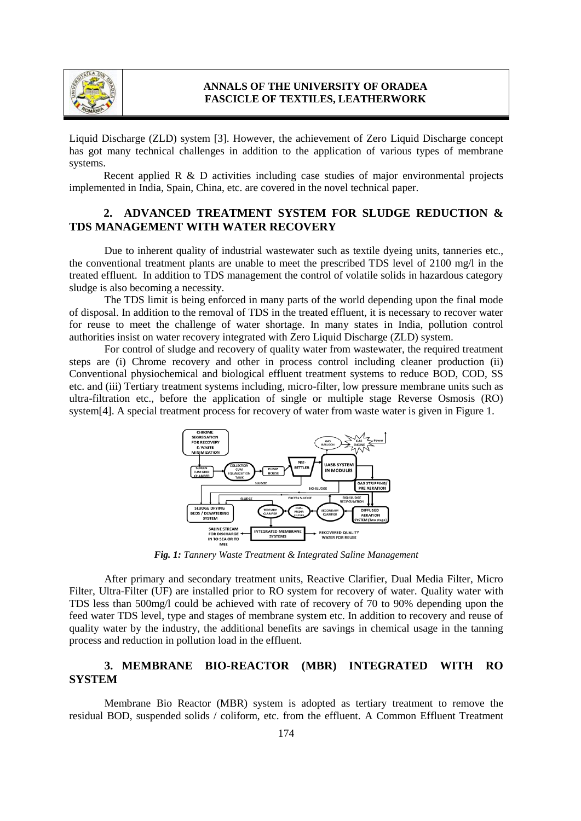

Liquid Discharge (ZLD) system [3]. However, the achievement of Zero Liquid Discharge concept has got many technical challenges in addition to the application of various types of membrane systems.

Recent applied R & D activities including case studies of major environmental projects implemented in India, Spain, China, etc. are covered in the novel technical paper.

# **2. ADVANCED TREATMENT SYSTEM FOR SLUDGE REDUCTION & TDS MANAGEMENT WITH WATER RECOVERY**

Due to inherent quality of industrial wastewater such as textile dyeing units, tanneries etc., the conventional treatment plants are unable to meet the prescribed TDS level of 2100 mg/l in the treated effluent. In addition to TDS management the control of volatile solids in hazardous category sludge is also becoming a necessity.

The TDS limit is being enforced in many parts of the world depending upon the final mode of disposal. In addition to the removal of TDS in the treated effluent, it is necessary to recover water for reuse to meet the challenge of water shortage. In many states in India, pollution control authorities insist on water recovery integrated with Zero Liquid Discharge (ZLD) system.

For control of sludge and recovery of quality water from wastewater, the required treatment steps are (i) Chrome recovery and other in process control including cleaner production (ii) Conventional physiochemical and biological effluent treatment systems to reduce BOD, COD, SS etc. and (iii) Tertiary treatment systems including, micro-filter, low pressure membrane units such as ultra-filtration etc., before the application of single or multiple stage Reverse Osmosis (RO) system[4]. A special treatment process for recovery of water from waste water is given in Figure 1.



*Fig. 1: Tannery Waste Treatment & Integrated Saline Management*

After primary and secondary treatment units, Reactive Clarifier, Dual Media Filter, Micro Filter, Ultra-Filter (UF) are installed prior to RO system for recovery of water. Quality water with TDS less than 500mg/l could be achieved with rate of recovery of 70 to 90% depending upon the feed water TDS level, type and stages of membrane system etc. In addition to recovery and reuse of quality water by the industry, the additional benefits are savings in chemical usage in the tanning process and reduction in pollution load in the effluent.

# **3. MEMBRANE BIO-REACTOR (MBR) INTEGRATED WITH RO SYSTEM**

Membrane Bio Reactor (MBR) system is adopted as tertiary treatment to remove the residual BOD, suspended solids / coliform, etc. from the effluent. A Common Effluent Treatment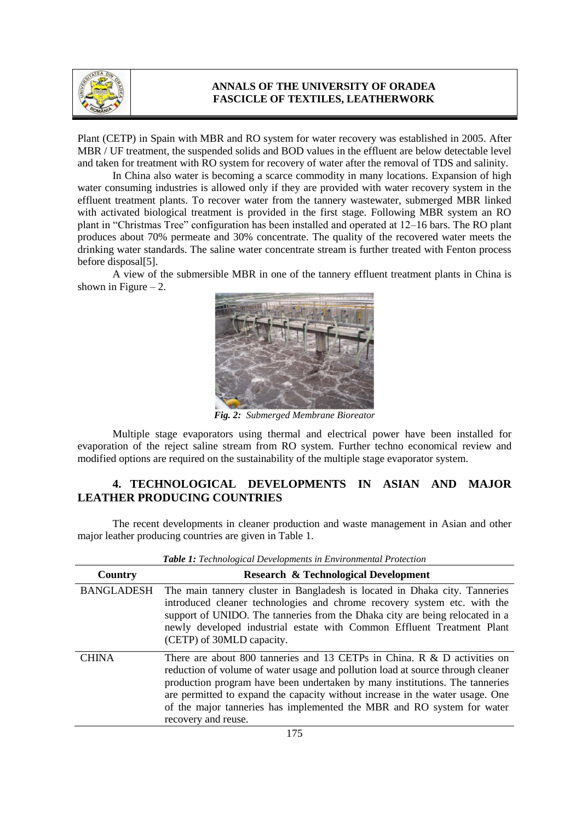

Plant (CETP) in Spain with MBR and RO system for water recovery was established in 2005. After MBR / UF treatment, the suspended solids and BOD values in the effluent are below detectable level and taken for treatment with RO system for recovery of water after the removal of TDS and salinity.

In China also water is becoming a scarce commodity in many locations. Expansion of high water consuming industries is allowed only if they are provided with water recovery system in the effluent treatment plants. To recover water from the tannery wastewater, submerged MBR linked with activated biological treatment is provided in the first stage. Following MBR system an RO plant in "Christmas Tree" configuration has been installed and operated at 12–16 bars. The RO plant produces about 70% permeate and 30% concentrate. The quality of the recovered water meets the drinking water standards. The saline water concentrate stream is further treated with Fenton process before disposal[5].

A view of the submersible MBR in one of the tannery effluent treatment plants in China is shown in Figure  $-2$ .



*Fig. 2: Submerged Membrane Bioreator*

Multiple stage evaporators using thermal and electrical power have been installed for evaporation of the reject saline stream from RO system. Further techno economical review and modified options are required on the sustainability of the multiple stage evaporator system.

# **4. TECHNOLOGICAL DEVELOPMENTS IN ASIAN AND MAJOR LEATHER PRODUCING COUNTRIES**

The recent developments in cleaner production and waste management in Asian and other major leather producing countries are given in Table 1.

| Country           | <b>Research &amp; Technological Development</b>                                                                                                                                                                                                                                                                                                                                                                              |
|-------------------|------------------------------------------------------------------------------------------------------------------------------------------------------------------------------------------------------------------------------------------------------------------------------------------------------------------------------------------------------------------------------------------------------------------------------|
| <b>BANGLADESH</b> | The main tannery cluster in Bangladesh is located in Dhaka city. Tanneries<br>introduced cleaner technologies and chrome recovery system etc. with the<br>support of UNIDO. The tanneries from the Dhaka city are being relocated in a<br>newly developed industrial estate with Common Effluent Treatment Plant<br>(CETP) of 30MLD capacity.                                                                                |
| <b>CHINA</b>      | There are about 800 tanneries and 13 CETPs in China. R & D activities on<br>reduction of volume of water usage and pollution load at source through cleaner<br>production program have been undertaken by many institutions. The tanneries<br>are permitted to expand the capacity without increase in the water usage. One<br>of the major tanneries has implemented the MBR and RO system for water<br>recovery and reuse. |

*Table 1: Technological Developments in Environmental Protection*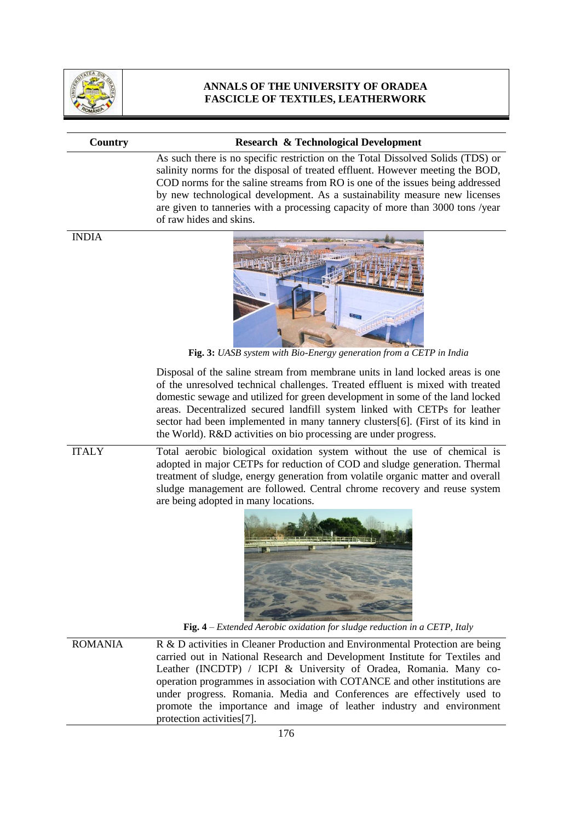

#### **Country Research & Technological Development**

As such there is no specific restriction on the Total Dissolved Solids (TDS) or salinity norms for the disposal of treated effluent. However meeting the BOD, COD norms for the saline streams from RO is one of the issues being addressed by new technological development. As a sustainability measure new licenses are given to tanneries with a processing capacity of more than 3000 tons /year of raw hides and skins.

INDIA



**Fig. 3:** *UASB system with Bio-Energy generation from a CETP in India*

Disposal of the saline stream from membrane units in land locked areas is one of the unresolved technical challenges. Treated effluent is mixed with treated domestic sewage and utilized for green development in some of the land locked areas. Decentralized secured landfill system linked with CETPs for leather sector had been implemented in many tannery clusters[6]. (First of its kind in the World). R&D activities on bio processing are under progress.

ITALY Total aerobic biological oxidation system without the use of chemical is adopted in major CETPs for reduction of COD and sludge generation. Thermal treatment of sludge, energy generation from volatile organic matter and overall sludge management are followed. Central chrome recovery and reuse system are being adopted in many locations.



**Fig. 4** – *Extended Aerobic oxidation for sludge reduction in a CETP, Italy*

ROMANIA R & D activities in Cleaner Production and Environmental Protection are being carried out in National Research and Development Institute for Textiles and Leather (INCDTP) / ICPI & University of Oradea, Romania. Many cooperation programmes in association with COTANCE and other institutions are under progress. Romania. Media and Conferences are effectively used to promote the importance and image of leather industry and environment protection activities[7].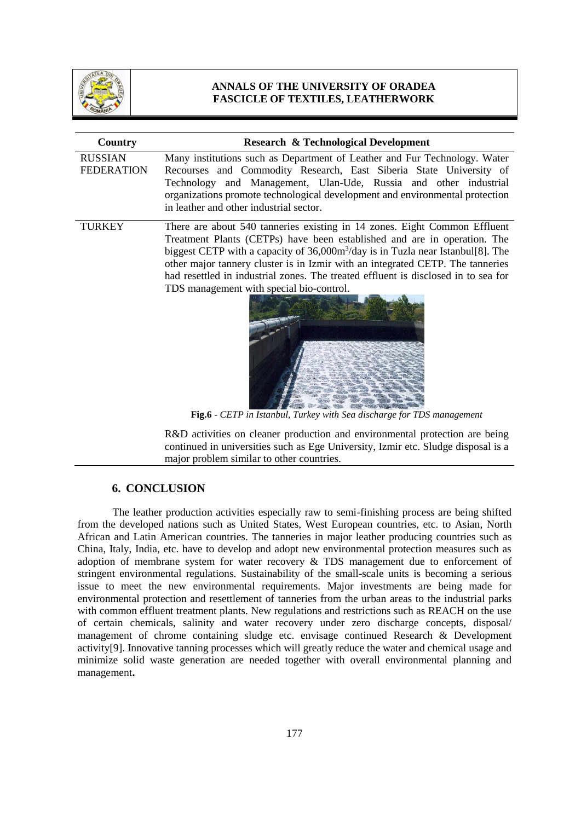

| Country                             | <b>Research &amp; Technological Development</b>                                                                                                                                                                                                                                                                                                                                                                                                               |
|-------------------------------------|---------------------------------------------------------------------------------------------------------------------------------------------------------------------------------------------------------------------------------------------------------------------------------------------------------------------------------------------------------------------------------------------------------------------------------------------------------------|
| <b>RUSSIAN</b><br><b>FEDERATION</b> | Many institutions such as Department of Leather and Fur Technology. Water<br>Recourses and Commodity Research, East Siberia State University of<br>Technology and Management, Ulan-Ude, Russia and other industrial<br>organizations promote technological development and environmental protection<br>in leather and other industrial sector.                                                                                                                |
| <b>TURKEY</b>                       | There are about 540 tanneries existing in 14 zones. Eight Common Effluent<br>Treatment Plants (CETPs) have been established and are in operation. The<br>biggest CETP with a capacity of $36,000m3/day$ is in Tuzla near Istanbul[8]. The<br>other major tannery cluster is in Izmir with an integrated CETP. The tanneries<br>had resettled in industrial zones. The treated effluent is disclosed in to sea for<br>TDS management with special bio-control. |

**Fig.6** - *CETP in Istanbul, Turkey with Sea discharge for TDS management*

R&D activities on cleaner production and environmental protection are being continued in universities such as Ege University, Izmir etc. Sludge disposal is a major problem similar to other countries.

#### **6. CONCLUSION**

The leather production activities especially raw to semi-finishing process are being shifted from the developed nations such as United States, West European countries, etc. to Asian, North African and Latin American countries. The tanneries in major leather producing countries such as China, Italy, India, etc. have to develop and adopt new environmental protection measures such as adoption of membrane system for water recovery & TDS management due to enforcement of stringent environmental regulations. Sustainability of the small-scale units is becoming a serious issue to meet the new environmental requirements. Major investments are being made for environmental protection and resettlement of tanneries from the urban areas to the industrial parks with common effluent treatment plants. New regulations and restrictions such as REACH on the use of certain chemicals, salinity and water recovery under zero discharge concepts, disposal/ management of chrome containing sludge etc. envisage continued Research & Development activity[9]. Innovative tanning processes which will greatly reduce the water and chemical usage and minimize solid waste generation are needed together with overall environmental planning and management**.**